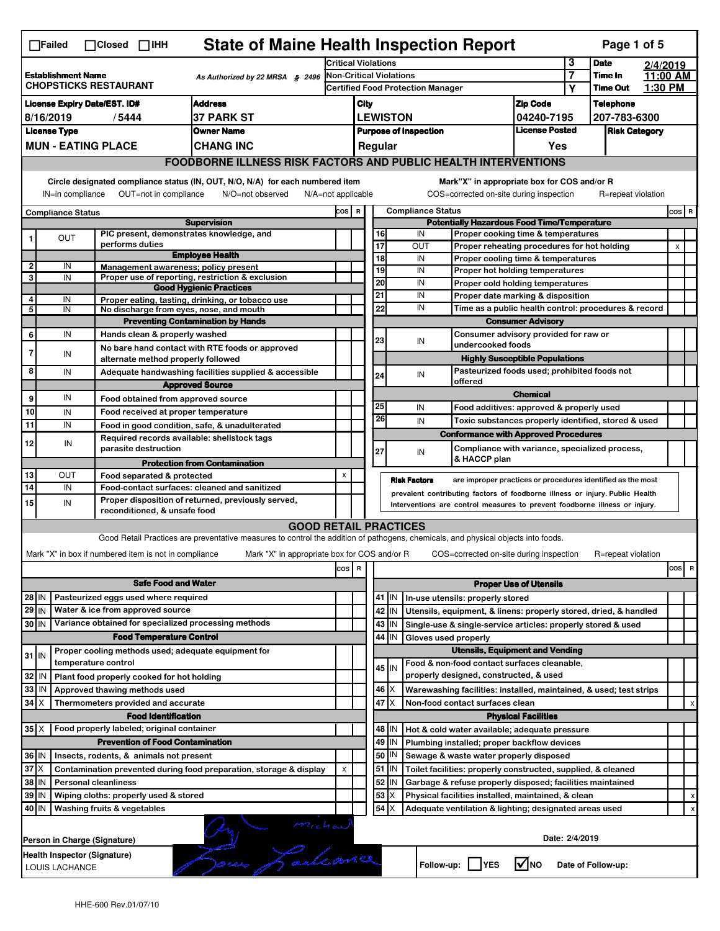| <b>State of Maine Health Inspection Report</b><br>Page 1 of 5<br>$\Box$ Failed<br>$\Box$ Closed $\Box$ IHH |                                                                                                                                                                                                                        |                                                                                         |                                                                                                                                   |                                                                                         |                                                  |             |                                |                                                                                       |                                       |                     |                            |                     |                |
|------------------------------------------------------------------------------------------------------------|------------------------------------------------------------------------------------------------------------------------------------------------------------------------------------------------------------------------|-----------------------------------------------------------------------------------------|-----------------------------------------------------------------------------------------------------------------------------------|-----------------------------------------------------------------------------------------|--------------------------------------------------|-------------|--------------------------------|---------------------------------------------------------------------------------------|---------------------------------------|---------------------|----------------------------|---------------------|----------------|
|                                                                                                            |                                                                                                                                                                                                                        |                                                                                         |                                                                                                                                   |                                                                                         | <b>Critical Violations</b>                       |             |                                |                                                                                       |                                       | 3                   | <b>Date</b>                | 2/4/2019            |                |
|                                                                                                            | <b>Establishment Name</b>                                                                                                                                                                                              | <b>CHOPSTICKS RESTAURANT</b>                                                            | As Authorized by 22 MRSA § 2496                                                                                                   |                                                                                         |                                                  |             | <b>Non-Critical Violations</b> |                                                                                       |                                       | $\overline{7}$<br>Y | Time In<br><b>Time Out</b> | 11:00 AM<br>1:30 PM |                |
| <b>Address</b><br><b>License Expiry Date/EST. ID#</b>                                                      |                                                                                                                                                                                                                        |                                                                                         |                                                                                                                                   |                                                                                         | <b>Certified Food Protection Manager</b><br>City |             |                                |                                                                                       | <b>Zip Code</b>                       |                     | <b>Telephone</b>           |                     |                |
|                                                                                                            | 8/16/2019                                                                                                                                                                                                              | /5444                                                                                   | <b>37 PARK ST</b>                                                                                                                 |                                                                                         |                                                  |             | <b>LEWISTON</b>                |                                                                                       | 04240-7195                            |                     | 207-783-6300               |                     |                |
|                                                                                                            | <b>License Type</b>                                                                                                                                                                                                    |                                                                                         | Owner Name                                                                                                                        |                                                                                         |                                                  |             | <b>Purpose of Inspection</b>   |                                                                                       | <b>License Posted</b>                 |                     | <b>Risk Category</b>       |                     |                |
|                                                                                                            |                                                                                                                                                                                                                        | <b>MUN - EATING PLACE</b>                                                               | <b>CHANG INC</b>                                                                                                                  |                                                                                         |                                                  | Regular     |                                |                                                                                       | Yes                                   |                     |                            |                     |                |
|                                                                                                            |                                                                                                                                                                                                                        |                                                                                         | <b>FOODBORNE ILLNESS RISK FACTORS AND PUBLIC HEALTH INTERVENTIONS</b>                                                             |                                                                                         |                                                  |             |                                |                                                                                       |                                       |                     |                            |                     |                |
|                                                                                                            | Circle designated compliance status (IN, OUT, N/O, N/A) for each numbered item                                                                                                                                         |                                                                                         |                                                                                                                                   |                                                                                         |                                                  |             |                                | Mark"X" in appropriate box for COS and/or R                                           |                                       |                     |                            |                     |                |
| OUT=not in compliance<br>N/O=not observed<br>IN=in compliance<br>$N/A = not$ applicable                    |                                                                                                                                                                                                                        |                                                                                         |                                                                                                                                   |                                                                                         |                                                  |             |                                | COS=corrected on-site during inspection                                               |                                       |                     | R=repeat violation         |                     |                |
| <b>Compliance Status</b><br><b>Supervision</b>                                                             |                                                                                                                                                                                                                        |                                                                                         |                                                                                                                                   | <b>Compliance Status</b><br>COS R<br><b>Potentially Hazardous Food Time/Temperature</b> |                                                  |             |                                |                                                                                       |                                       | $cos$ R             |                            |                     |                |
| 1                                                                                                          | OUT                                                                                                                                                                                                                    | PIC present, demonstrates knowledge, and                                                |                                                                                                                                   |                                                                                         |                                                  | 16          |                                | IN<br>Proper cooking time & temperatures                                              |                                       |                     |                            |                     |                |
|                                                                                                            |                                                                                                                                                                                                                        | performs duties                                                                         |                                                                                                                                   |                                                                                         |                                                  | 17          |                                | OUT<br>Proper reheating procedures for hot holding                                    |                                       |                     |                            |                     | $\pmb{\times}$ |
| $\overline{2}$                                                                                             | IN                                                                                                                                                                                                                     | Management awareness; policy present                                                    | <b>Employee Health</b>                                                                                                            |                                                                                         |                                                  | 18          |                                | IN<br>Proper cooling time & temperatures                                              |                                       |                     |                            |                     |                |
| 3                                                                                                          | IN                                                                                                                                                                                                                     |                                                                                         | Proper use of reporting, restriction & exclusion                                                                                  |                                                                                         |                                                  | 19<br>20    |                                | IN<br>Proper hot holding temperatures<br>IN<br>Proper cold holding temperatures       |                                       |                     |                            |                     |                |
| 4                                                                                                          |                                                                                                                                                                                                                        |                                                                                         | <b>Good Hygienic Practices</b>                                                                                                    |                                                                                         |                                                  | 21          |                                | IN<br>Proper date marking & disposition                                               |                                       |                     |                            |                     |                |
| 5                                                                                                          | IN<br>IN                                                                                                                                                                                                               | No discharge from eyes, nose, and mouth                                                 | Proper eating, tasting, drinking, or tobacco use                                                                                  |                                                                                         |                                                  | 22          |                                | IN<br>Time as a public health control: procedures & record                            |                                       |                     |                            |                     |                |
|                                                                                                            |                                                                                                                                                                                                                        |                                                                                         | <b>Preventing Contamination by Hands</b>                                                                                          |                                                                                         |                                                  |             |                                | <b>Consumer Advisory</b>                                                              |                                       |                     |                            |                     |                |
| 6                                                                                                          | IN                                                                                                                                                                                                                     | Hands clean & properly washed                                                           |                                                                                                                                   |                                                                                         |                                                  | 23          |                                | Consumer advisory provided for raw or<br>IN                                           |                                       |                     |                            |                     |                |
| 7                                                                                                          | IN                                                                                                                                                                                                                     |                                                                                         | No bare hand contact with RTE foods or approved                                                                                   |                                                                                         |                                                  |             |                                | undercooked foods                                                                     | <b>Highly Susceptible Populations</b> |                     |                            |                     |                |
| 8                                                                                                          | IN                                                                                                                                                                                                                     | alternate method properly followed                                                      | Adequate handwashing facilities supplied & accessible                                                                             |                                                                                         |                                                  |             |                                | Pasteurized foods used; prohibited foods not                                          |                                       |                     |                            |                     |                |
|                                                                                                            |                                                                                                                                                                                                                        |                                                                                         | <b>Approved Source</b>                                                                                                            |                                                                                         |                                                  | 24          |                                | IN<br>offered                                                                         |                                       |                     |                            |                     |                |
| $\mathbf{9}$                                                                                               | IN                                                                                                                                                                                                                     | Food obtained from approved source                                                      |                                                                                                                                   |                                                                                         |                                                  |             |                                |                                                                                       | <b>Chemical</b>                       |                     |                            |                     |                |
| 10                                                                                                         | IN                                                                                                                                                                                                                     | Food received at proper temperature                                                     |                                                                                                                                   |                                                                                         |                                                  | 25          |                                | IN<br>Food additives: approved & properly used                                        |                                       |                     |                            |                     |                |
| 11                                                                                                         | IN                                                                                                                                                                                                                     |                                                                                         | Food in good condition, safe, & unadulterated                                                                                     |                                                                                         |                                                  | 26          |                                | IN<br>Toxic substances properly identified, stored & used                             |                                       |                     |                            |                     |                |
| 12                                                                                                         | IN                                                                                                                                                                                                                     | Required records available: shellstock tags                                             |                                                                                                                                   |                                                                                         |                                                  |             |                                | <b>Conformance with Approved Procedures</b>                                           |                                       |                     |                            |                     |                |
|                                                                                                            |                                                                                                                                                                                                                        | parasite destruction                                                                    |                                                                                                                                   |                                                                                         |                                                  | 27          |                                | Compliance with variance, specialized process,<br>IN<br>& HACCP plan                  |                                       |                     |                            |                     |                |
| 13                                                                                                         | OUT                                                                                                                                                                                                                    | Food separated & protected                                                              | <b>Protection from Contamination</b>                                                                                              | X                                                                                       |                                                  |             |                                |                                                                                       |                                       |                     |                            |                     |                |
| 14                                                                                                         | IN                                                                                                                                                                                                                     |                                                                                         | Food-contact surfaces: cleaned and sanitized                                                                                      |                                                                                         |                                                  |             | <b>Risk Factors</b>            | are improper practices or procedures identified as the most                           |                                       |                     |                            |                     |                |
| 15                                                                                                         | prevalent contributing factors of foodborne illness or injury. Public Health<br>Proper disposition of returned, previously served,<br>IN<br>Interventions are control measures to prevent foodborne illness or injury. |                                                                                         |                                                                                                                                   |                                                                                         |                                                  |             |                                |                                                                                       |                                       |                     |                            |                     |                |
|                                                                                                            |                                                                                                                                                                                                                        | reconditioned, & unsafe food                                                            |                                                                                                                                   |                                                                                         |                                                  |             |                                |                                                                                       |                                       |                     |                            |                     |                |
|                                                                                                            |                                                                                                                                                                                                                        |                                                                                         | <b>GOOD RETAIL PRACTICES</b>                                                                                                      |                                                                                         |                                                  |             |                                |                                                                                       |                                       |                     |                            |                     |                |
|                                                                                                            |                                                                                                                                                                                                                        |                                                                                         | Good Retail Practices are preventative measures to control the addition of pathogens, chemicals, and physical objects into foods. |                                                                                         |                                                  |             |                                |                                                                                       |                                       |                     |                            |                     |                |
|                                                                                                            |                                                                                                                                                                                                                        | Mark "X" in box if numbered item is not in compliance                                   | Mark "X" in appropriate box for COS and/or R                                                                                      |                                                                                         |                                                  |             |                                | COS=corrected on-site during inspection                                               |                                       |                     | R=repeat violation         |                     |                |
|                                                                                                            |                                                                                                                                                                                                                        |                                                                                         |                                                                                                                                   | cos R                                                                                   |                                                  |             |                                |                                                                                       |                                       |                     |                            |                     | cos<br>R       |
|                                                                                                            |                                                                                                                                                                                                                        | <b>Safe Food and Water</b><br>Pasteurized eggs used where required                      |                                                                                                                                   |                                                                                         |                                                  |             |                                |                                                                                       | <b>Proper Use of Utensils</b>         |                     |                            |                     |                |
| 28 IN<br>29 IN                                                                                             |                                                                                                                                                                                                                        |                                                                                         |                                                                                                                                   |                                                                                         |                                                  |             |                                |                                                                                       |                                       |                     |                            |                     |                |
| 30 IN                                                                                                      |                                                                                                                                                                                                                        |                                                                                         |                                                                                                                                   |                                                                                         |                                                  |             | 41 IN                          | In-use utensils: properly stored                                                      |                                       |                     |                            |                     |                |
|                                                                                                            |                                                                                                                                                                                                                        | Water & ice from approved source                                                        |                                                                                                                                   |                                                                                         |                                                  |             | $42$ IN                        | Utensils, equipment, & linens: properly stored, dried, & handled                      |                                       |                     |                            |                     |                |
| Proper cooling methods used; adequate equipment for                                                        |                                                                                                                                                                                                                        |                                                                                         |                                                                                                                                   |                                                                                         |                                                  | 44          | $43$   IN<br>IN                | Single-use & single-service articles: properly stored & used<br>Gloves used properly  |                                       |                     |                            |                     |                |
|                                                                                                            |                                                                                                                                                                                                                        | Variance obtained for specialized processing methods<br><b>Food Temperature Control</b> |                                                                                                                                   |                                                                                         |                                                  |             |                                | <b>Utensils, Equipment and Vending</b>                                                |                                       |                     |                            |                     |                |
| $31$ IN                                                                                                    |                                                                                                                                                                                                                        | temperature control                                                                     |                                                                                                                                   |                                                                                         |                                                  |             | 45 IN                          | Food & non-food contact surfaces cleanable,                                           |                                       |                     |                            |                     |                |
| 32   IN                                                                                                    |                                                                                                                                                                                                                        | Plant food properly cooked for hot holding                                              |                                                                                                                                   |                                                                                         |                                                  |             |                                | properly designed, constructed, & used                                                |                                       |                     |                            |                     |                |
| 33 IN                                                                                                      |                                                                                                                                                                                                                        | Approved thawing methods used                                                           |                                                                                                                                   |                                                                                         |                                                  | $46 \times$ |                                | Warewashing facilities: installed, maintained, & used; test strips                    |                                       |                     |                            |                     |                |
| $34$ $\times$                                                                                              |                                                                                                                                                                                                                        | Thermometers provided and accurate                                                      |                                                                                                                                   |                                                                                         |                                                  | 47 I X      |                                | Non-food contact surfaces clean                                                       |                                       |                     |                            |                     | х              |
|                                                                                                            |                                                                                                                                                                                                                        | <b>Food Identification</b>                                                              |                                                                                                                                   |                                                                                         |                                                  |             |                                |                                                                                       | <b>Physical Facilities</b>            |                     |                            |                     |                |
| $35$ $\times$                                                                                              |                                                                                                                                                                                                                        | Food properly labeled; original container<br><b>Prevention of Food Contamination</b>    |                                                                                                                                   |                                                                                         |                                                  | 49          | 48   IN<br>IN                  | Hot & cold water available; adequate pressure                                         |                                       |                     |                            |                     |                |
| 36 IN                                                                                                      |                                                                                                                                                                                                                        | Insects, rodents, & animals not present                                                 |                                                                                                                                   |                                                                                         |                                                  | 50          | IN                             | Plumbing installed; proper backflow devices<br>Sewage & waste water properly disposed |                                       |                     |                            |                     |                |
| $37$ $\times$                                                                                              |                                                                                                                                                                                                                        |                                                                                         | Contamination prevented during food preparation, storage & display                                                                | X                                                                                       |                                                  |             | $51$ M                         | Toilet facilities: properly constructed, supplied, & cleaned                          |                                       |                     |                            |                     |                |
| 38 IN                                                                                                      |                                                                                                                                                                                                                        | <b>Personal cleanliness</b>                                                             |                                                                                                                                   |                                                                                         |                                                  | 52          | IN                             | Garbage & refuse properly disposed; facilities maintained                             |                                       |                     |                            |                     |                |
| 39 IN                                                                                                      |                                                                                                                                                                                                                        | Wiping cloths: properly used & stored                                                   |                                                                                                                                   |                                                                                         |                                                  | 53          | ΙX                             | Physical facilities installed, maintained, & clean                                    |                                       |                     |                            |                     |                |
| 40 IN                                                                                                      |                                                                                                                                                                                                                        | Washing fruits & vegetables                                                             |                                                                                                                                   |                                                                                         |                                                  | 54          | ΙX                             | Adequate ventilation & lighting; designated areas used                                |                                       |                     |                            |                     |                |
|                                                                                                            |                                                                                                                                                                                                                        | Person in Charge (Signature)                                                            | michael<br>Donne Lalcance                                                                                                         |                                                                                         |                                                  |             |                                |                                                                                       |                                       | Date: 2/4/2019      |                            |                     |                |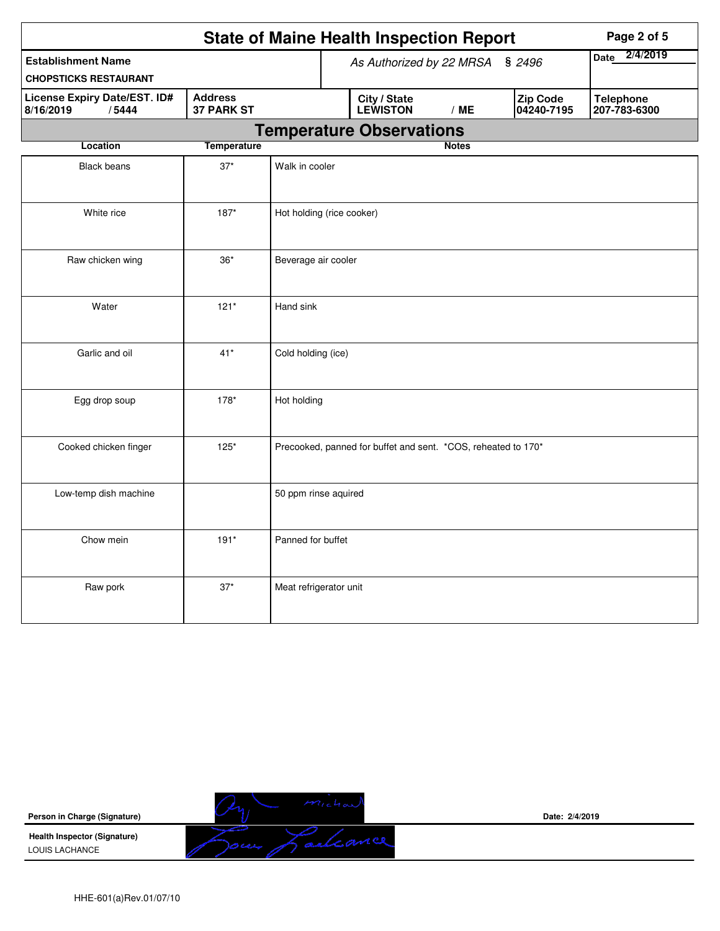|                                                           |                                     |                                    | <b>State of Maine Health Inspection Report</b>                |              |                               | Page 2 of 5                      |
|-----------------------------------------------------------|-------------------------------------|------------------------------------|---------------------------------------------------------------|--------------|-------------------------------|----------------------------------|
| <b>Establishment Name</b><br><b>CHOPSTICKS RESTAURANT</b> |                                     | As Authorized by 22 MRSA<br>\$2496 |                                                               |              | 2/4/2019<br><b>Date</b>       |                                  |
| <b>License Expiry Date/EST. ID#</b><br>8/16/2019<br>/5444 | <b>Address</b><br><b>37 PARK ST</b> |                                    | City / State<br><b>LEWISTON</b>                               | /ME          | <b>Zip Code</b><br>04240-7195 | <b>Telephone</b><br>207-783-6300 |
|                                                           |                                     |                                    | <b>Temperature Observations</b>                               |              |                               |                                  |
| Location                                                  | <b>Temperature</b>                  |                                    |                                                               | <b>Notes</b> |                               |                                  |
| <b>Black beans</b>                                        | $37*$                               | Walk in cooler                     |                                                               |              |                               |                                  |
| White rice                                                | $187*$                              | Hot holding (rice cooker)          |                                                               |              |                               |                                  |
| Raw chicken wing                                          | $36*$                               | Beverage air cooler                |                                                               |              |                               |                                  |
| Water                                                     | $121*$                              | Hand sink                          |                                                               |              |                               |                                  |
| Garlic and oil                                            | $41*$                               | Cold holding (ice)                 |                                                               |              |                               |                                  |
| Egg drop soup                                             | 178*                                | Hot holding                        |                                                               |              |                               |                                  |
| Cooked chicken finger                                     | $125*$                              |                                    | Precooked, panned for buffet and sent. *COS, reheated to 170* |              |                               |                                  |
| Low-temp dish machine                                     |                                     | 50 ppm rinse aquired               |                                                               |              |                               |                                  |
| Chow mein                                                 | $191*$                              | Panned for buffet                  |                                                               |              |                               |                                  |
| Raw pork                                                  | $37*$                               | Meat refrigerator unit             |                                                               |              |                               |                                  |

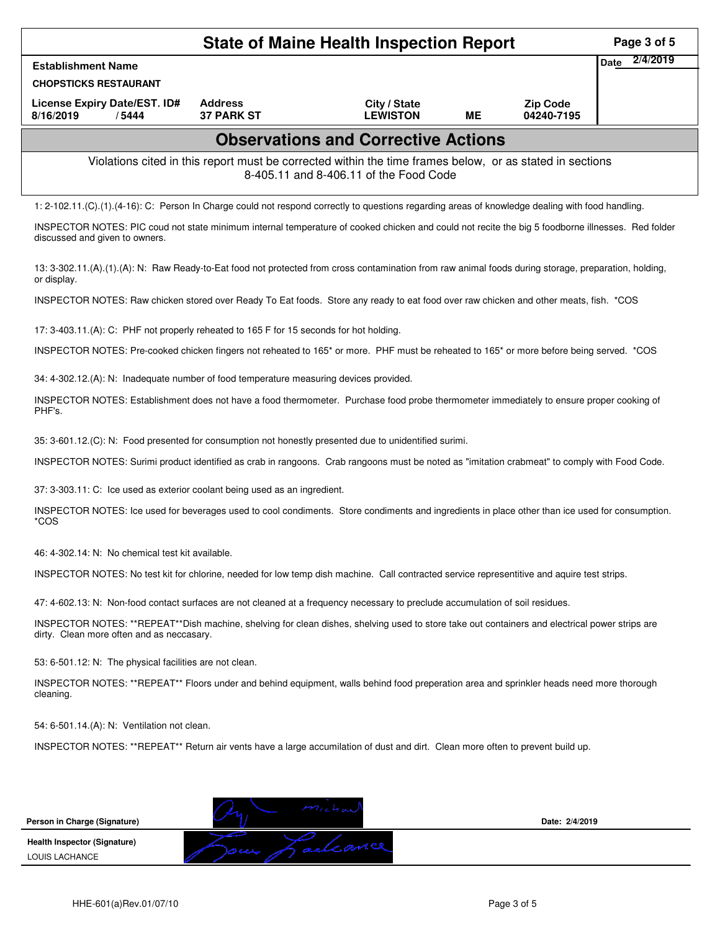|                                                                                                                                                                                             |                                     | <b>State of Maine Health Inspection Report</b>                                                                                                     |           |                               |      | Page 3 of 5 |
|---------------------------------------------------------------------------------------------------------------------------------------------------------------------------------------------|-------------------------------------|----------------------------------------------------------------------------------------------------------------------------------------------------|-----------|-------------------------------|------|-------------|
| <b>Establishment Name</b>                                                                                                                                                                   |                                     |                                                                                                                                                    |           |                               | Date | 2/4/2019    |
| <b>CHOPSTICKS RESTAURANT</b>                                                                                                                                                                |                                     |                                                                                                                                                    |           |                               |      |             |
| License Expiry Date/EST. ID#<br>8/16/2019<br>/5444                                                                                                                                          | <b>Address</b><br><b>37 PARK ST</b> | City / State<br><b>LEWISTON</b>                                                                                                                    | <b>ME</b> | <b>Zip Code</b><br>04240-7195 |      |             |
|                                                                                                                                                                                             |                                     | <b>Observations and Corrective Actions</b>                                                                                                         |           |                               |      |             |
|                                                                                                                                                                                             |                                     | Violations cited in this report must be corrected within the time frames below, or as stated in sections<br>8-405.11 and 8-406.11 of the Food Code |           |                               |      |             |
| 1: 2-102.11.(C).(1).(4-16): C: Person In Charge could not respond correctly to questions regarding areas of knowledge dealing with food handling.                                           |                                     |                                                                                                                                                    |           |                               |      |             |
| INSPECTOR NOTES: PIC coud not state minimum internal temperature of cooked chicken and could not recite the big 5 foodborne illnesses. Red folder<br>discussed and given to owners.         |                                     |                                                                                                                                                    |           |                               |      |             |
| 13: 3-302.11.(A).(1).(A): N: Raw Ready-to-Eat food not protected from cross contamination from raw animal foods during storage, preparation, holding,<br>or display.                        |                                     |                                                                                                                                                    |           |                               |      |             |
| INSPECTOR NOTES: Raw chicken stored over Ready To Eat foods. Store any ready to eat food over raw chicken and other meats, fish. *COS                                                       |                                     |                                                                                                                                                    |           |                               |      |             |
| 17: 3-403.11.(A): C: PHF not properly reheated to 165 F for 15 seconds for hot holding.                                                                                                     |                                     |                                                                                                                                                    |           |                               |      |             |
| INSPECTOR NOTES: Pre-cooked chicken fingers not reheated to 165 <sup>*</sup> or more. PHF must be reheated to 165 <sup>*</sup> or more before being served. *COS                            |                                     |                                                                                                                                                    |           |                               |      |             |
| 34: 4-302.12.(A): N: Inadequate number of food temperature measuring devices provided.                                                                                                      |                                     |                                                                                                                                                    |           |                               |      |             |
| INSPECTOR NOTES: Establishment does not have a food thermometer. Purchase food probe thermometer immediately to ensure proper cooking of<br>PHF's.                                          |                                     |                                                                                                                                                    |           |                               |      |             |
| 35: 3-601.12.(C): N: Food presented for consumption not honestly presented due to unidentified surimi.                                                                                      |                                     |                                                                                                                                                    |           |                               |      |             |
| INSPECTOR NOTES: Surimi product identified as crab in rangoons. Crab rangoons must be noted as "imitation crabmeat" to comply with Food Code.                                               |                                     |                                                                                                                                                    |           |                               |      |             |
| 37: 3-303.11: C: Ice used as exterior coolant being used as an ingredient.                                                                                                                  |                                     |                                                                                                                                                    |           |                               |      |             |
| INSPECTOR NOTES: Ice used for beverages used to cool condiments. Store condiments and ingredients in place other than ice used for consumption.<br>*COS                                     |                                     |                                                                                                                                                    |           |                               |      |             |
| 46: 4-302.14: N: No chemical test kit available.                                                                                                                                            |                                     |                                                                                                                                                    |           |                               |      |             |
| INSPECTOR NOTES: No test kit for chlorine, needed for low temp dish machine. Call contracted service representitive and aquire test strips.                                                 |                                     |                                                                                                                                                    |           |                               |      |             |
| 47: 4-602.13: N: Non-food contact surfaces are not cleaned at a frequency necessary to preclude accumulation of soil residues.                                                              |                                     |                                                                                                                                                    |           |                               |      |             |
| INSPECTOR NOTES: **REPEAT**Dish machine, shelving for clean dishes, shelving used to store take out containers and electrical power strips are<br>dirty. Clean more often and as neccasary. |                                     |                                                                                                                                                    |           |                               |      |             |
| 53: 6-501.12: N: The physical facilities are not clean.                                                                                                                                     |                                     |                                                                                                                                                    |           |                               |      |             |
| INSPECTOR NOTES: **REPEAT** Floors under and behind equipment, walls behind food preperation area and sprinkler heads need more thorough<br>cleaning.                                       |                                     |                                                                                                                                                    |           |                               |      |             |
| 54: 6-501.14.(A): N: Ventilation not clean.                                                                                                                                                 |                                     |                                                                                                                                                    |           |                               |      |             |
| INSPECTOR NOTES: **REPEAT** Return air vents have a large accumilation of dust and dirt. Clean more often to prevent build up.                                                              |                                     |                                                                                                                                                    |           |                               |      |             |
|                                                                                                                                                                                             |                                     |                                                                                                                                                    |           |                               |      |             |
| Person in Charge (Signature)                                                                                                                                                                |                                     |                                                                                                                                                    |           | Date: 2/4/2019                |      |             |
| <b>Health Inspector (Signature)</b>                                                                                                                                                         |                                     | Lalcance                                                                                                                                           |           |                               |      |             |
| LOUIS LACHANCE                                                                                                                                                                              |                                     |                                                                                                                                                    |           |                               |      |             |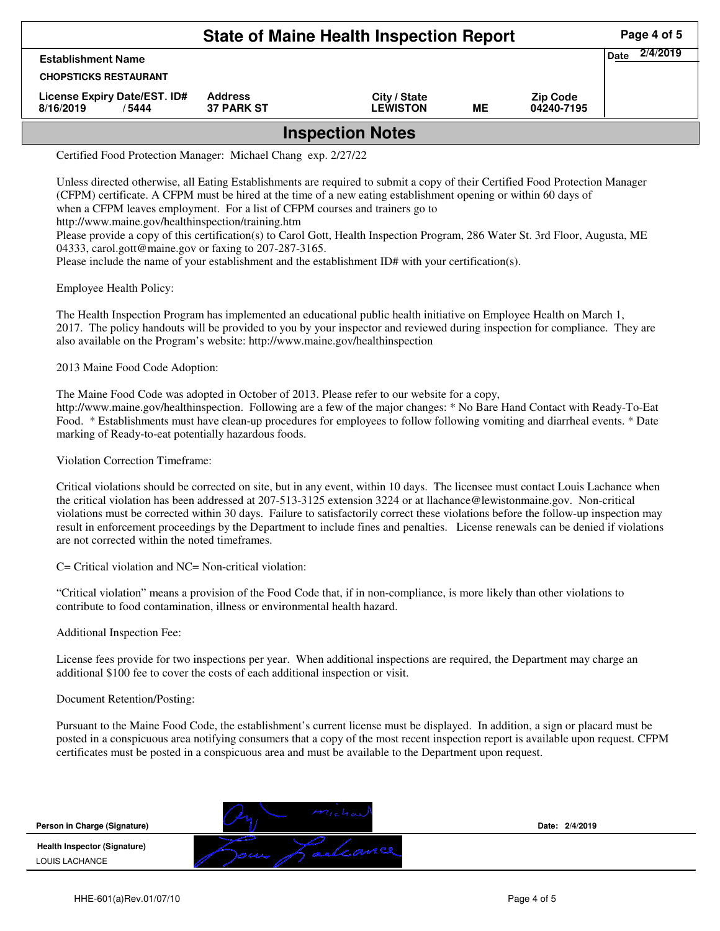|                                                     | Page 4 of 5                         |                                 |    |                               |                  |  |  |  |
|-----------------------------------------------------|-------------------------------------|---------------------------------|----|-------------------------------|------------------|--|--|--|
| <b>Establishment Name</b>                           |                                     |                                 |    |                               | 2/4/2019<br>Date |  |  |  |
| <b>CHOPSTICKS RESTAURANT</b>                        |                                     |                                 |    |                               |                  |  |  |  |
| License Expiry Date/EST. ID#<br>8/16/2019<br>/ 5444 | <b>Address</b><br><b>37 PARK ST</b> | City / State<br><b>LEWISTON</b> | ME | <b>Zip Code</b><br>04240-7195 |                  |  |  |  |
| <b>Inspection Notes</b>                             |                                     |                                 |    |                               |                  |  |  |  |

Certified Food Protection Manager: Michael Chang exp. 2/27/22

Unless directed otherwise, all Eating Establishments are required to submit a copy of their Certified Food Protection Manager (CFPM) certificate. A CFPM must be hired at the time of a new eating establishment opening or within 60 days of when a CFPM leaves employment. For a list of CFPM courses and trainers go to http://www.maine.gov/healthinspection/training.htm Please provide a copy of this certification(s) to Carol Gott, Health Inspection Program, 286 Water St. 3rd Floor, Augusta, ME 04333, carol.gott@maine.gov or faxing to 207-287-3165.

Please include the name of your establishment and the establishment ID# with your certification(s).

Employee Health Policy:

The Health Inspection Program has implemented an educational public health initiative on Employee Health on March 1, 2017. The policy handouts will be provided to you by your inspector and reviewed during inspection for compliance. They are also available on the Program's website: http://www.maine.gov/healthinspection

2013 Maine Food Code Adoption:

The Maine Food Code was adopted in October of 2013. Please refer to our website for a copy, http://www.maine.gov/healthinspection. Following are a few of the major changes: \* No Bare Hand Contact with Ready-To-Eat Food. \* Establishments must have clean-up procedures for employees to follow following vomiting and diarrheal events. \* Date marking of Ready-to-eat potentially hazardous foods.

Violation Correction Timeframe:

Critical violations should be corrected on site, but in any event, within 10 days. The licensee must contact Louis Lachance when the critical violation has been addressed at 207-513-3125 extension 3224 or at llachance@lewistonmaine.gov. Non-critical violations must be corrected within 30 days. Failure to satisfactorily correct these violations before the follow-up inspection may result in enforcement proceedings by the Department to include fines and penalties. License renewals can be denied if violations are not corrected within the noted timeframes.

C= Critical violation and NC= Non-critical violation:

"Critical violation" means a provision of the Food Code that, if in non-compliance, is more likely than other violations to contribute to food contamination, illness or environmental health hazard.

Additional Inspection Fee:

License fees provide for two inspections per year. When additional inspections are required, the Department may charge an additional \$100 fee to cover the costs of each additional inspection or visit.

## Document Retention/Posting:

Pursuant to the Maine Food Code, the establishment's current license must be displayed. In addition, a sign or placard must be posted in a conspicuous area notifying consumers that a copy of the most recent inspection report is available upon request. CFPM certificates must be posted in a conspicuous area and must be available to the Department upon request.